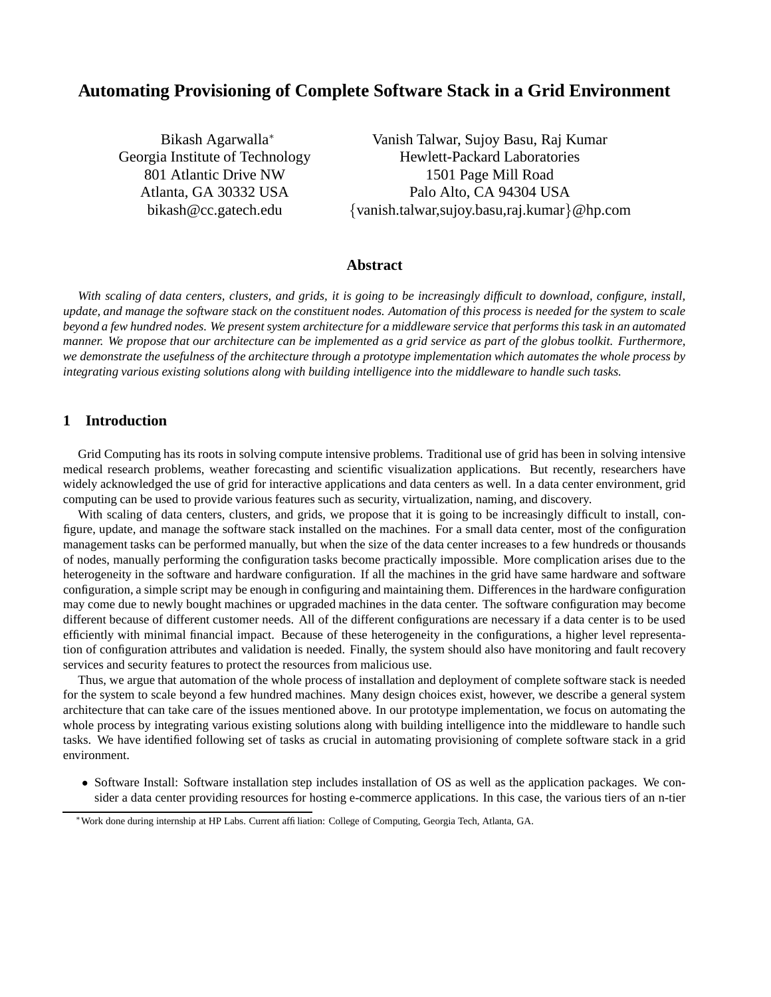# **Automating Provisioning of Complete Software Stack in a Grid Environment**

Bikash Agarwalla<sup>∗</sup> Georgia Institute of Technology 801 Atlantic Drive NW Atlanta, GA 30332 USA bikash@cc.gatech.edu

Vanish Talwar, Sujoy Basu, Raj Kumar Hewlett-Packard Laboratories 1501 Page Mill Road Palo Alto, CA 94304 USA {vanish.talwar,sujoy.basu,raj.kumar}@hp.com

## **Abstract**

With scaling of data centers, clusters, and grids, it is going to be increasingly difficult to download, configure, install, update, and manage the software stack on the constituent nodes. Automation of this process is needed for the system to scale beyond a few hundred nodes. We present system architecture for a middleware service that performs this task in an automated manner. We propose that our architecture can be implemented as a grid service as part of the globus toolkit. Furthermore, we demonstrate the usefulness of the architecture through a prototype implementation which automates the whole process by *integrating various existing solutions along with building intelligence into the middleware to handle such tasks.*

# **1 Introduction**

Grid Computing has its roots in solving compute intensive problems. Traditional use of grid has been in solving intensive medical research problems, weather forecasting and scientific visualization applications. But recently, researchers have widely acknowledged the use of grid for interactive applications and data centers as well. In a data center environment, grid computing can be used to provide various features such as security, virtualization, naming, and discovery.

With scaling of data centers, clusters, and grids, we propose that it is going to be increasingly difficult to install, configure, update, and manage the software stack installed on the machines. For a small data center, most of the configuration management tasks can be performed manually, but when the size of the data center increases to a few hundreds or thousands of nodes, manually performing the configuration tasks become practically impossible. More complication arises due to the heterogeneity in the software and hardware configuration. If all the machines in the grid have same hardware and software configuration, a simple script may be enough in configuring and maintaining them. Differences in the hardware configuration may come due to newly bought machines or upgraded machines in the data center. The software configuration may become different because of different customer needs. All of the different configurations are necessary if a data center is to be used efficiently with minimal financial impact. Because of these heterogeneity in the configurations, a higher level representation of configuration attributes and validation is needed. Finally, the system should also have monitoring and fault recovery services and security features to protect the resources from malicious use.

Thus, we argue that automation of the whole process of installation and deployment of complete software stack is needed for the system to scale beyond a few hundred machines. Many design choices exist, however, we describe a general system architecture that can take care of the issues mentioned above. In our prototype implementation, we focus on automating the whole process by integrating various existing solutions along with building intelligence into the middleware to handle such tasks. We have identified following set of tasks as crucial in automating provisioning of complete software stack in a grid environment.

• Software Install: Software installation step includes installation of OS as well as the application packages. We consider a data center providing resources for hosting e-commerce applications. In this case, the various tiers of an n-tier

<sup>∗</sup>Work done during internship at HP Labs. Current affiliation: College of Computing, Georgia Tech, Atlanta, GA.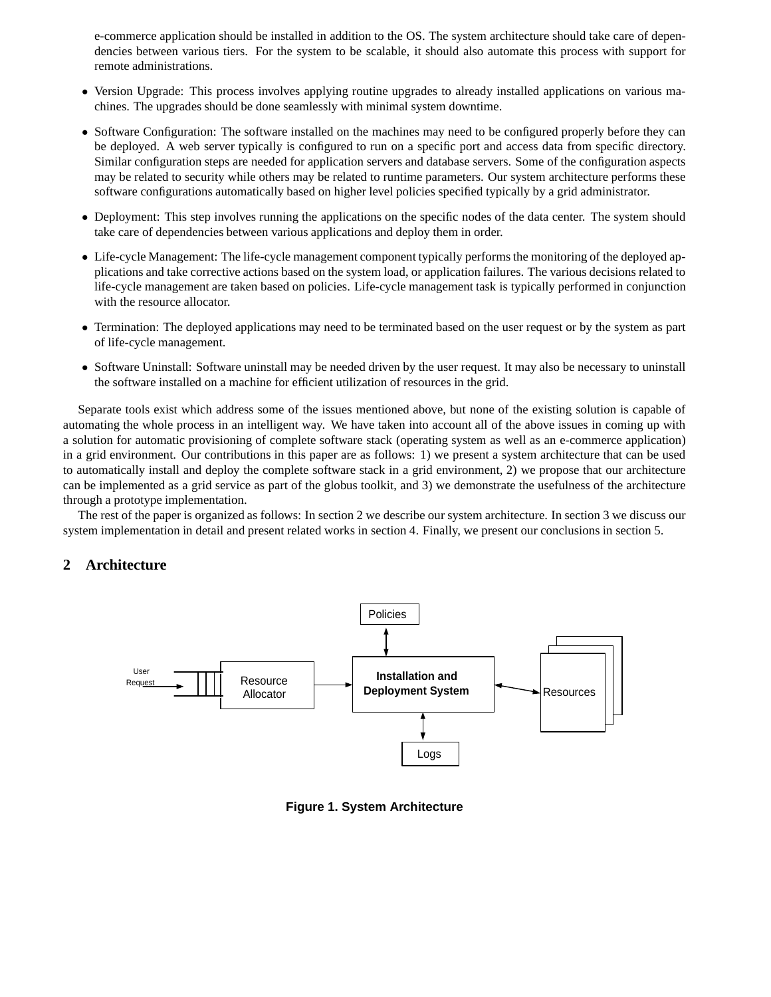e-commerce application should be installed in addition to the OS. The system architecture should take care of dependencies between various tiers. For the system to be scalable, it should also automate this process with support for remote administrations.

- Version Upgrade: This process involves applying routine upgrades to already installed applications on various machines. The upgrades should be done seamlessly with minimal system downtime.
- Software Configuration: The software installed on the machines may need to be configured properly before they can be deployed. A web server typically is configured to run on a specific port and access data from specific directory. Similar configuration steps are needed for application servers and database servers. Some of the configuration aspects may be related to security while others may be related to runtime parameters. Our system architecture performs these software configurations automatically based on higher level policies specified typically by a grid administrator.
- Deployment: This step involves running the applications on the specific nodes of the data center. The system should take care of dependencies between various applications and deploy them in order.
- Life-cycle Management: The life-cycle management component typically performs the monitoring of the deployed applications and take corrective actions based on the system load, or application failures. The various decisions related to life-cycle management are taken based on policies. Life-cycle management task is typically performed in conjunction with the resource allocator.
- Termination: The deployed applications may need to be terminated based on the user request or by the system as part of life-cycle management.
- Software Uninstall: Software uninstall may be needed driven by the user request. It may also be necessary to uninstall the software installed on a machine for efficient utilization of resources in the grid.

Separate tools exist which address some of the issues mentioned above, but none of the existing solution is capable of automating the whole process in an intelligent way. We have taken into account all of the above issues in coming up with a solution for automatic provisioning of complete software stack (operating system as well as an e-commerce application) in a grid environment. Our contributions in this paper are as follows: 1) we present a system architecture that can be used to automatically install and deploy the complete software stack in a grid environment, 2) we propose that our architecture can be implemented as a grid service as part of the globus toolkit, and 3) we demonstrate the usefulness of the architecture through a prototype implementation.

The rest of the paper is organized as follows: In section 2 we describe our system architecture. In section 3 we discuss our system implementation in detail and present related works in section 4. Finally, we present our conclusions in section 5.

# **2 Architecture**



**Figure 1. System Architecture**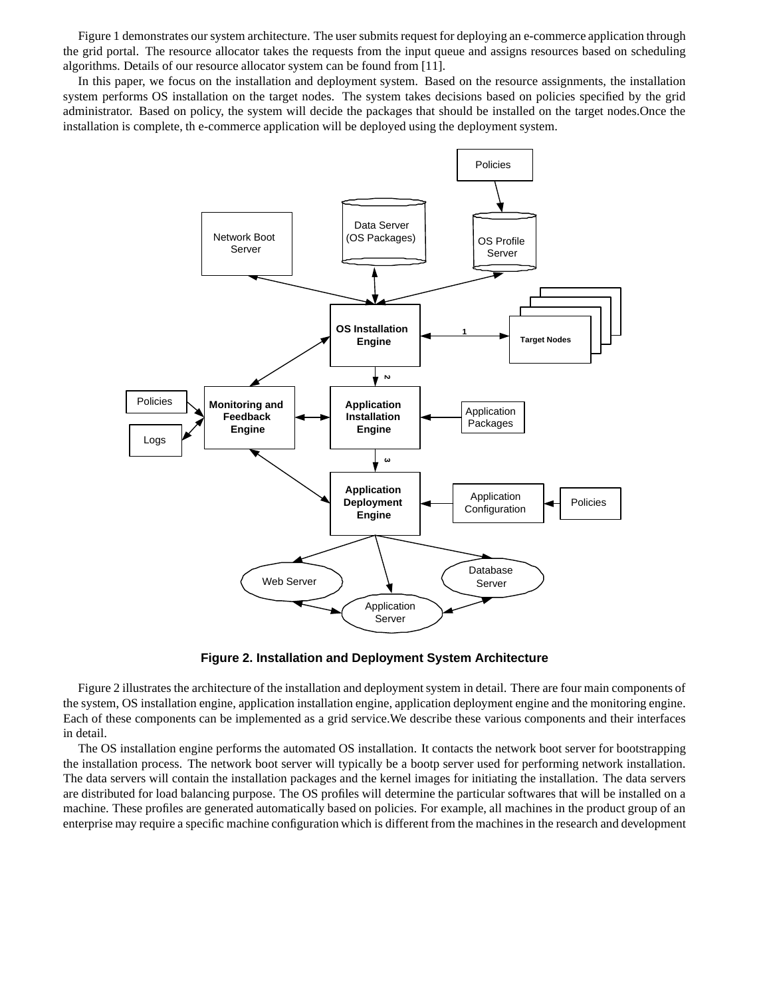Figure 1 demonstrates our system architecture. The user submits request for deploying an e-commerce application through the grid portal. The resource allocator takes the requests from the input queue and assigns resources based on scheduling algorithms. Details of our resource allocator system can be found from [11].

In this paper, we focus on the installation and deployment system. Based on the resource assignments, the installation system performs OS installation on the target nodes. The system takes decisions based on policies specified by the grid administrator. Based on policy, the system will decide the packages that should be installed on the target nodes.Once the installation is complete, th e-commerce application will be deployed using the deployment system.



**Figure 2. Installation and Deployment System Architecture**

Figure 2 illustrates the architecture of the installation and deploymentsystem in detail. There are four main components of the system, OS installation engine, application installation engine, application deployment engine and the monitoring engine. Each of these components can be implemented as a grid service.We describe these various components and their interfaces in detail.

The OS installation engine performs the automated OS installation. It contacts the network boot server for bootstrapping the installation process. The network boot server will typically be a bootp server used for performing network installation. The data servers will contain the installation packages and the kernel images for initiating the installation. The data servers are distributed for load balancing purpose. The OS profiles will determine the particular softwares that will be installed on a machine. These profiles are generated automatically based on policies. For example, all machines in the product group of an enterprise may require a specific machine configuration which is different from the machines in the research and development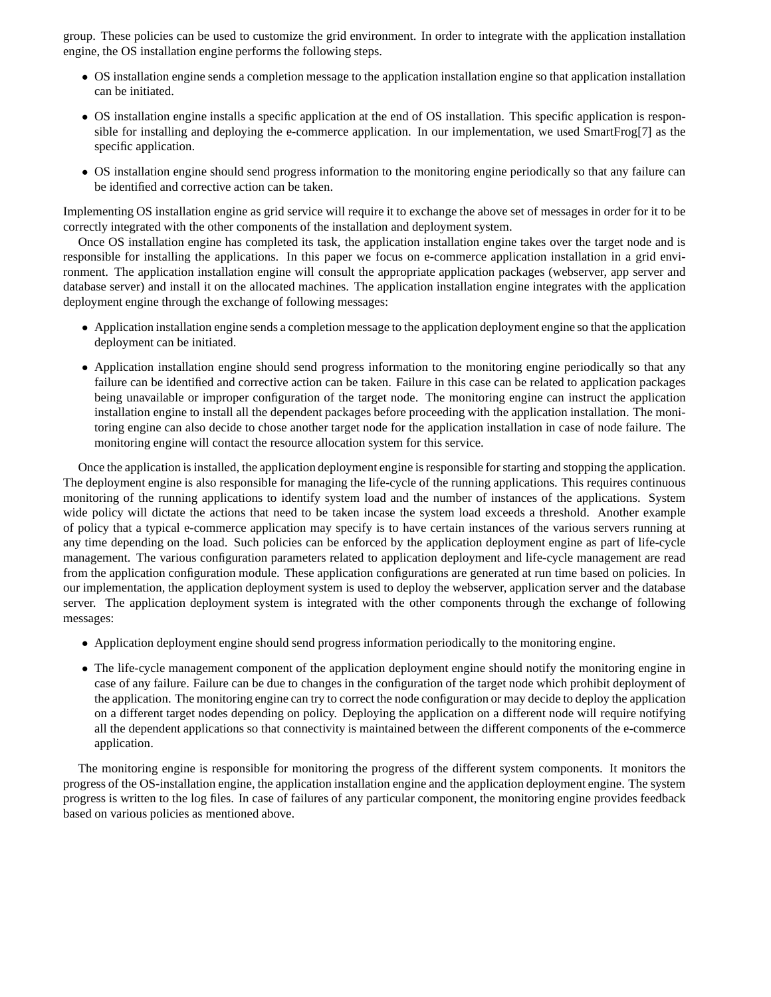group. These policies can be used to customize the grid environment. In order to integrate with the application installation engine, the OS installation engine performs the following steps.

- OS installation engine sends a completion message to the application installation engine so that application installation can be initiated.
- OS installation engine installs a specific application at the end of OS installation. This specific application is responsible for installing and deploying the e-commerce application. In our implementation, we used SmartFrog[7] as the specific application.
- OS installation engine should send progress information to the monitoring engine periodically so that any failure can be identified and corrective action can be taken.

Implementing OS installation engine as grid service will require it to exchange the above set of messages in order for it to be correctly integrated with the other components of the installation and deployment system.

Once OS installation engine has completed its task, the application installation engine takes over the target node and is responsible for installing the applications. In this paper we focus on e-commerce application installation in a grid environment. The application installation engine will consult the appropriate application packages (webserver, app server and database server) and install it on the allocated machines. The application installation engine integrates with the application deployment engine through the exchange of following messages:

- Application installation engine sends a completion message to the application deployment engine so that the application deployment can be initiated.
- Application installation engine should send progress information to the monitoring engine periodically so that any failure can be identified and corrective action can be taken. Failure in this case can be related to application packages being unavailable or improper configuration of the target node. The monitoring engine can instruct the application installation engine to install all the dependent packages before proceeding with the application installation. The monitoring engine can also decide to chose another target node for the application installation in case of node failure. The monitoring engine will contact the resource allocation system for this service.

Once the application is installed, the application deployment engine is responsible forstarting and stopping the application. The deployment engine is also responsible for managing the life-cycle of the running applications. This requires continuous monitoring of the running applications to identify system load and the number of instances of the applications. System wide policy will dictate the actions that need to be taken incase the system load exceeds a threshold. Another example of policy that a typical e-commerce application may specify is to have certain instances of the various servers running at any time depending on the load. Such policies can be enforced by the application deployment engine as part of life-cycle management. The various configuration parameters related to application deployment and life-cycle management are read from the application configuration module. These application configurations are generated at run time based on policies. In our implementation, the application deployment system is used to deploy the webserver, application server and the database server. The application deployment system is integrated with the other components through the exchange of following messages:

- Application deployment engine should send progress information periodically to the monitoring engine.
- The life-cycle management component of the application deployment engine should notify the monitoring engine in case of any failure. Failure can be due to changes in the configuration of the target node which prohibit deployment of the application. The monitoring engine can try to correct the node configuration or may decide to deploy the application on a different target nodes depending on policy. Deploying the application on a different node will require notifying all the dependent applications so that connectivity is maintained between the different components of the e-commerce application.

The monitoring engine is responsible for monitoring the progress of the different system components. It monitors the progress of the OS-installation engine, the application installation engine and the application deployment engine. The system progress is written to the log files. In case of failures of any particular component, the monitoring engine provides feedback based on various policies as mentioned above.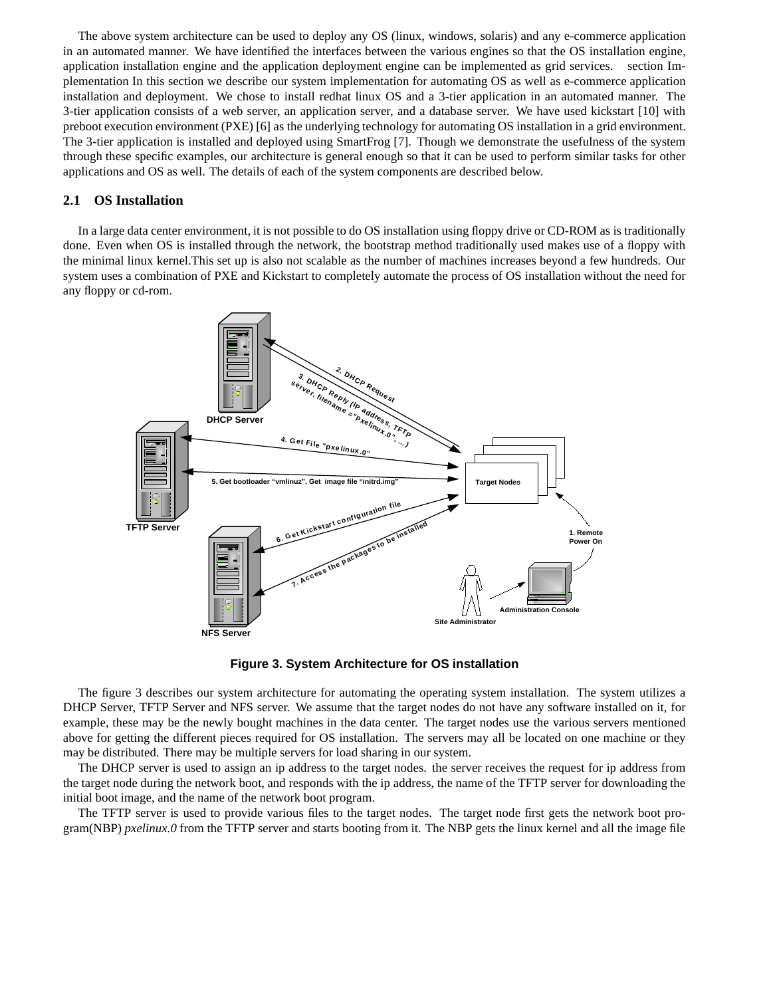The above system architecture can be used to deploy any OS (linux, windows, solaris) and any e-commerce application in an automated manner. We have identified the interfaces between the various engines so that the OS installation engine, application installation engine and the application deployment engine can be implemented as grid services. section Implementation In this section we describe our system implementation for automating OS as well as e-commerce application installation and deployment. We chose to install redhat linux OS and a 3-tier application in an automated manner. The 3-tier application consists of a web server, an application server, and a database server. We have used kickstart [10] with preboot execution environment (PXE) [6] as the underlying technology for automating OS installation in a grid environment. The 3-tier application is installed and deployed using SmartFrog [7]. Though we demonstrate the usefulness of the system through these specific examples, our architecture is general enough so that it can be used to perform similar tasks for other applications and OS as well. The details of each of the system components are described below.

# **2.1 OS Installation**

In a large data center environment, it is not possible to do OS installation using floppy drive or CD-ROM as is traditionally done. Even when OS is installed through the network, the bootstrap method traditionally used makes use of a floppy with the minimal linux kernel.This set up is also not scalable as the number of machines increases beyond a few hundreds. Our system uses a combination of PXE and Kickstart to completely automate the process of OS installation without the need for any floppy or cd-rom.



**Figure 3. System Architecture for OS installation**

The figure 3 describes our system architecture for automating the operating system installation. The system utilizes a DHCP Server, TFTP Server and NFS server. We assume that the target nodes do not have any software installed on it, for example, these may be the newly bought machines in the data center. The target nodes use the various servers mentioned above for getting the different pieces required for OS installation. The servers may all be located on one machine or they may be distributed. There may be multiple servers for load sharing in our system.

The DHCP server is used to assign an ip address to the target nodes. the server receives the request for ip address from the target node during the network boot, and responds with the ip address, the name of the TFTP server for downloading the initial boot image, and the name of the network boot program.

The TFTP server is used to provide various files to the target nodes. The target node first gets the network boot program(NBP) *pxelinux.0* from the TFTP server and starts booting from it. The NBP gets the linux kernel and all the image file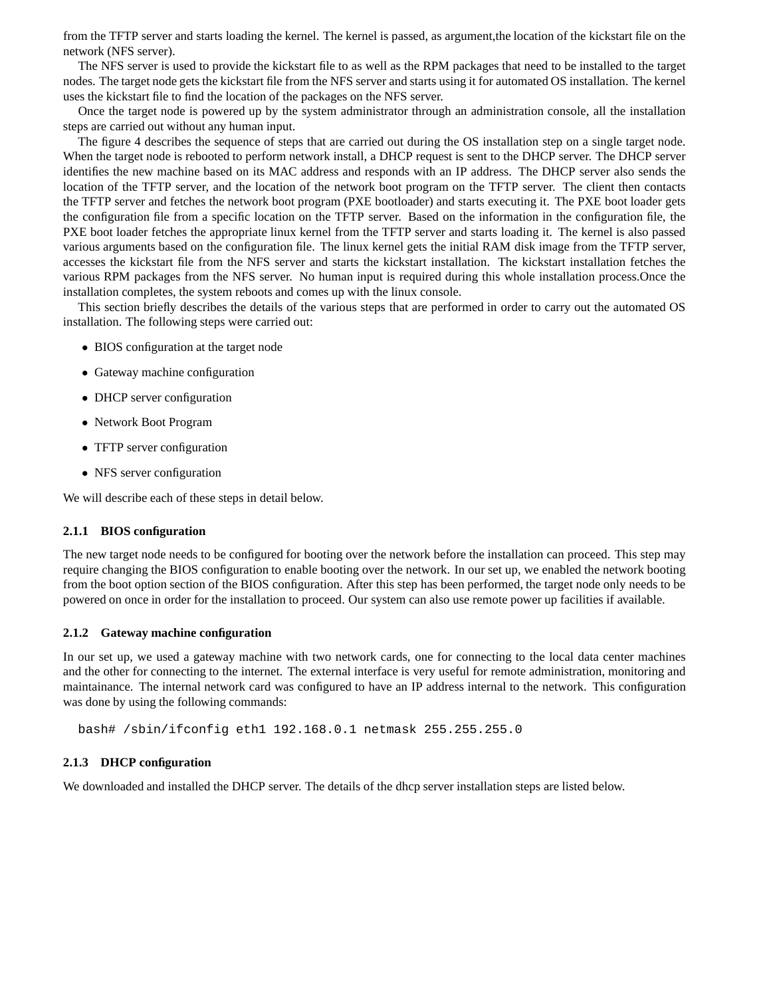from the TFTP server and starts loading the kernel. The kernel is passed, as argument,the location of the kickstart file on the network (NFS server).

The NFS server is used to provide the kickstart file to as well as the RPM packages that need to be installed to the target nodes. The target node gets the kickstart file from the NFS server and starts using it for automated OS installation. The kernel uses the kickstart file to find the location of the packages on the NFS server.

Once the target node is powered up by the system administrator through an administration console, all the installation steps are carried out without any human input.

The figure 4 describes the sequence of steps that are carried out during the OS installation step on a single target node. When the target node is rebooted to perform network install, a DHCP request is sent to the DHCP server. The DHCP server identifies the new machine based on its MAC address and responds with an IP address. The DHCP server also sends the location of the TFTP server, and the location of the network boot program on the TFTP server. The client then contacts the TFTP server and fetches the network boot program (PXE bootloader) and starts executing it. The PXE boot loader gets the configuration file from a specific location on the TFTP server. Based on the information in the configuration file, the PXE boot loader fetches the appropriate linux kernel from the TFTP server and starts loading it. The kernel is also passed various arguments based on the configuration file. The linux kernel gets the initial RAM disk image from the TFTP server, accesses the kickstart file from the NFS server and starts the kickstart installation. The kickstart installation fetches the various RPM packages from the NFS server. No human input is required during this whole installation process.Once the installation completes, the system reboots and comes up with the linux console.

This section briefly describes the details of the various steps that are performed in order to carry out the automated OS installation. The following steps were carried out:

- BIOS configuration at the target node
- Gateway machine configuration
- DHCP server configuration
- Network Boot Program
- TFTP server configuration
- NFS server configuration

We will describe each of these steps in detail below.

#### **2.1.1 BIOS configuration**

The new target node needs to be configured for booting over the network before the installation can proceed. This step may require changing the BIOS configuration to enable booting over the network. In our set up, we enabled the network booting from the boot option section of the BIOS configuration. After this step has been performed, the target node only needs to be powered on once in order for the installation to proceed. Our system can also use remote power up facilities if available.

#### **2.1.2 Gateway machine configuration**

In our set up, we used a gateway machine with two network cards, one for connecting to the local data center machines and the other for connecting to the internet. The external interface is very useful for remote administration, monitoring and maintainance. The internal network card was configured to have an IP address internal to the network. This configuration was done by using the following commands:

bash# /sbin/ifconfig eth1 192.168.0.1 netmask 255.255.255.0

#### **2.1.3 DHCP configuration**

We downloaded and installed the DHCP server. The details of the dhcp server installation steps are listed below.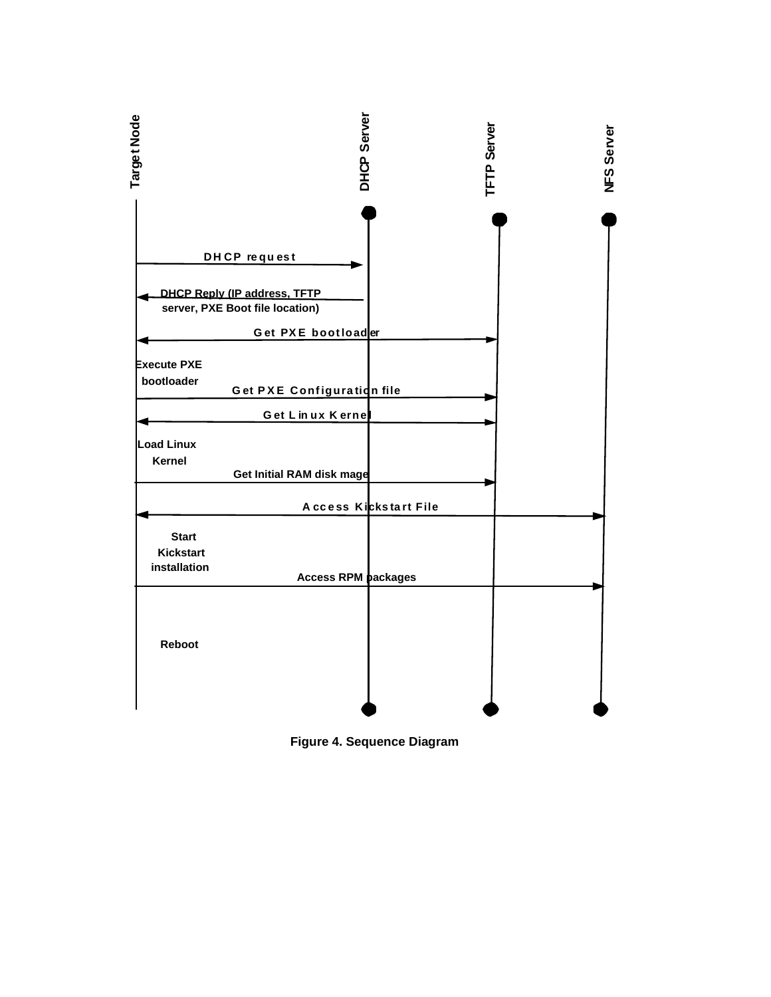

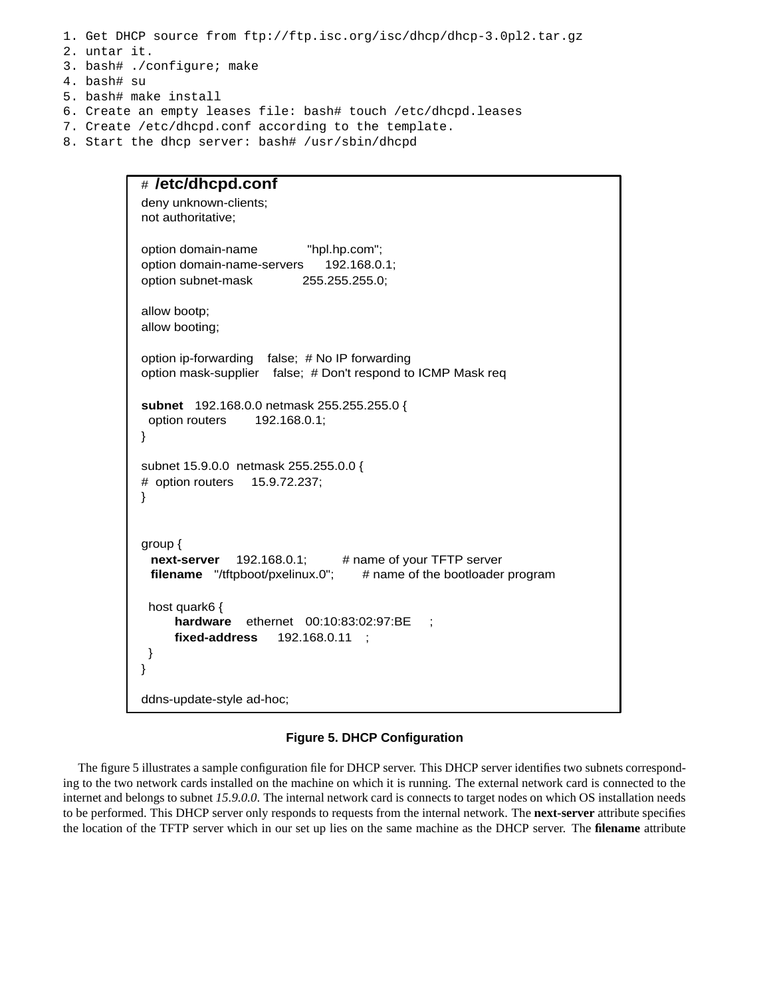1. Get DHCP source from ftp://ftp.isc.org/isc/dhcp/dhcp-3.0pl2.tar.gz

- 2. untar it.
- 3. bash# ./configure; make
- 4. bash# su
- 5. bash# make install
- 6. Create an empty leases file: bash# touch /etc/dhcpd.leases
- 7. Create /etc/dhcpd.conf according to the template.
- 8. Start the dhcp server: bash# /usr/sbin/dhcpd

```
# /etc/dhcpd.conf
deny unknown-clients;
not authoritative;
option domain-name "hpl.hp.com";
option domain-name-servers 192.168.0.1;
option subnet-mask 255.255.255.0;
allow bootp;
allow booting;
option ip-forwarding false; # No IP forwarding
option mask-supplier false; # Don't respond to ICMP Mask req
subnet 192.168.0.0 netmask 255.255.255.0 {
 option routers 192.168.0.1;
}
subnet 15.9.0.0 netmask 255.255.0.0 {
# option routers 15.9.72.237;
}
group {
 next-server 192.168.0.1; # name of your TFTP server
 filename "/tftpboot/pxelinux.0"; # name of the bootloader program
 host quark6 {
     hardware ethernet 00:10:83:02:97:BE ;
     fixed-address 192.168.0.11 ;
 }
}
ddns-update-style ad-hoc;
```
#### **Figure 5. DHCP Configuration**

The figure 5 illustrates a sample configuration file for DHCP server. This DHCP server identifies two subnets corresponding to the two network cards installed on the machine on which it is running. The external network card is connected to the internet and belongs to subnet *15.9.0.0*. The internal network card is connects to target nodes on which OS installation needs to be performed. This DHCP server only responds to requests from the internal network. The **next-server** attribute specifies the location of the TFTP server which in our set up lies on the same machine as the DHCP server. The **filename** attribute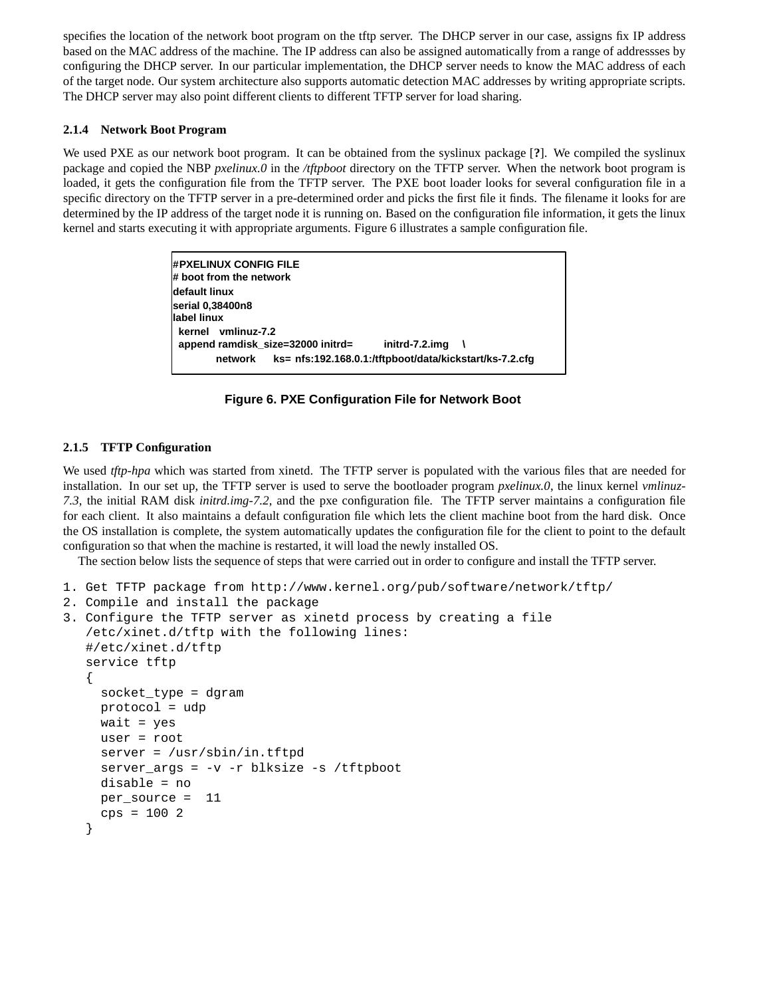specifies the location of the network boot program on the tftp server. The DHCP server in our case, assigns fix IP address based on the MAC address of the machine. The IP address can also be assigned automatically from a range of addressses by configuring the DHCP server. In our particular implementation, the DHCP server needs to know the MAC address of each of the target node. Our system architecture also supports automatic detection MAC addresses by writing appropriate scripts. The DHCP server may also point different clients to different TFTP server for load sharing.

# **2.1.4 Network Boot Program**

We used PXE as our network boot program. It can be obtained from the syslinux package [**?**]. We compiled the syslinux package and copied the NBP *pxelinux.0* in the */tftpboot* directory on the TFTP server. When the network boot program is loaded, it gets the configuration file from the TFTP server. The PXE boot loader looks for several configuration file in a specific directory on the TFTP server in a pre-determined order and picks the first file it finds. The filename it looks for are determined by the IP address of the target node it is running on. Based on the configuration file information, it gets the linux kernel and starts executing it with appropriate arguments. Figure 6 illustrates a sample configuration file.

> **#PXELINUX CONFIG FILE # boot from the network default linux serial 0,38400n8 label linux kernel vmlinuz-7.2 append ramdisk\_size=32000 initrd= initrd-7.2.img \ network ks= nfs:192.168.0.1:/tftpboot/data/kickstart/ks-7.2.cfg**

**Figure 6. PXE Configuration File for Network Boot**

# **2.1.5 TFTP Configuration**

We used *tftp-hpa* which was started from xinetd. The TFTP server is populated with the various files that are needed for installation. In our set up, the TFTP server is used to serve the bootloader program *pxelinux.0*, the linux kernel *vmlinuz-7.3*, the initial RAM disk *initrd.img-7.2*, and the pxe configuration file. The TFTP server maintains a configuration file for each client. It also maintains a default configuration file which lets the client machine boot from the hard disk. Once the OS installation is complete, the system automatically updates the configuration file for the client to point to the default configuration so that when the machine is restarted, it will load the newly installed OS.

The section below lists the sequence of steps that were carried out in order to configure and install the TFTP server.

```
1. Get TFTP package from http://www.kernel.org/pub/software/network/tftp/
2. Compile and install the package
3. Configure the TFTP server as xinetd process by creating a file
   /etc/xinet.d/tftp with the following lines:
   #/etc/xinet.d/tftp
   service tftp
   {
     socket_type = dgram
    protocol = udp
    wait = yes
     user = root
     server = /usr/sbin/in.tftpd
     server_args = -v -r blksize -s /tftpboot
     disable = no
    per_source = 11
     cps = 1002}
```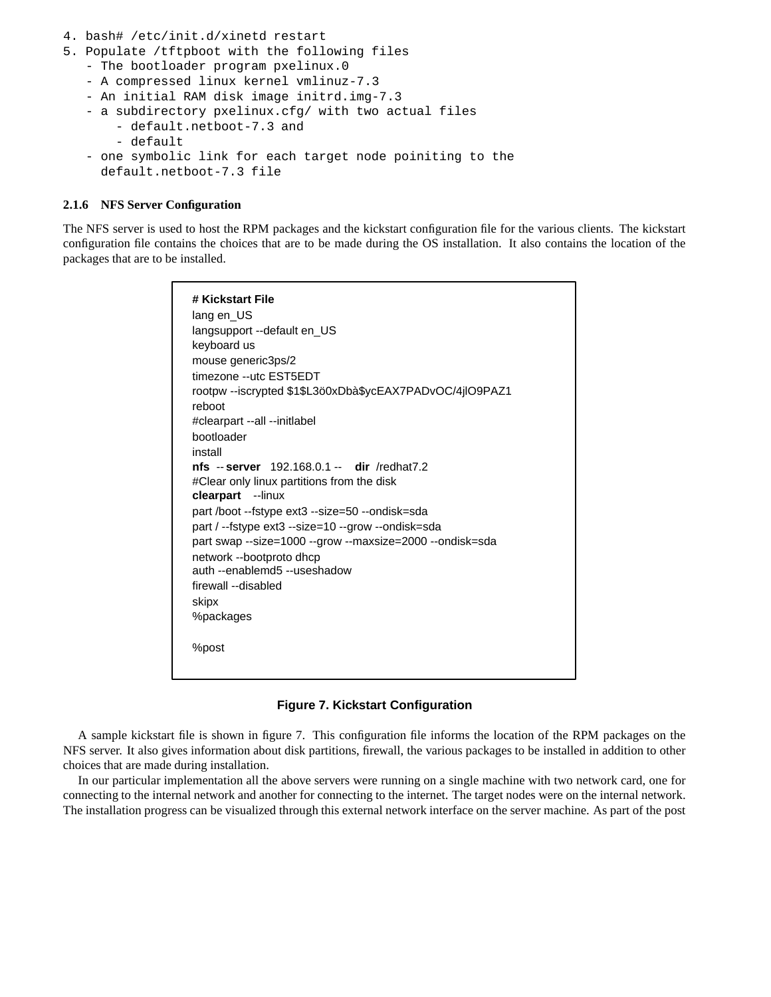- 4. bash# /etc/init.d/xinetd restart
- 5. Populate /tftpboot with the following files
	- The bootloader program pxelinux.0
	- A compressed linux kernel vmlinuz-7.3
	- An initial RAM disk image initrd.img-7.3
	- a subdirectory pxelinux.cfg/ with two actual files
		- default.netboot-7.3 and
		- default
	- one symbolic link for each target node poiniting to the default.netboot-7.3 file

#### **2.1.6 NFS Server Configuration**

The NFS server is used to host the RPM packages and the kickstart configuration file for the various clients. The kickstart configuration file contains the choices that are to be made during the OS installation. It also contains the location of the packages that are to be installed.

| # Kickstart File<br>lang en US                           |
|----------------------------------------------------------|
| langsupport --default en_US                              |
| keyboard us                                              |
| mouse generic3ps/2                                       |
| timezone --utc EST5EDT                                   |
| rootpw --iscrypted \$1\$L3ö0xDbà\$ycEAX7PADvOC/4jlO9PAZ1 |
| reboot                                                   |
| #clearpart --all --initlabel                             |
| bootloader                                               |
| install                                                  |
| nfs -- server 192.168.0.1 -- dir /redhat7.2              |
| #Clear only linux partitions from the disk               |
| <b>clearpart</b> --linux                                 |
| part /boot --fstype ext3 --size=50 --ondisk=sda          |
| part / --fstype ext3 --size=10 --grow --ondisk=sda       |
| part swap --size=1000 --grow --maxsize=2000 --ondisk=sda |
| network --bootproto dhcp                                 |
| auth --enablemd5 --useshadow                             |
| firewall --disabled                                      |
| skipx                                                    |
| %packages                                                |
| %post                                                    |

**Figure 7. Kickstart Configuration**

A sample kickstart file is shown in figure 7. This configuration file informs the location of the RPM packages on the NFS server. It also gives information about disk partitions, firewall, the various packages to be installed in addition to other choices that are made during installation.

In our particular implementation all the above servers were running on a single machine with two network card, one for connecting to the internal network and another for connecting to the internet. The target nodes were on the internal network. The installation progress can be visualized through this external network interface on the server machine. As part of the post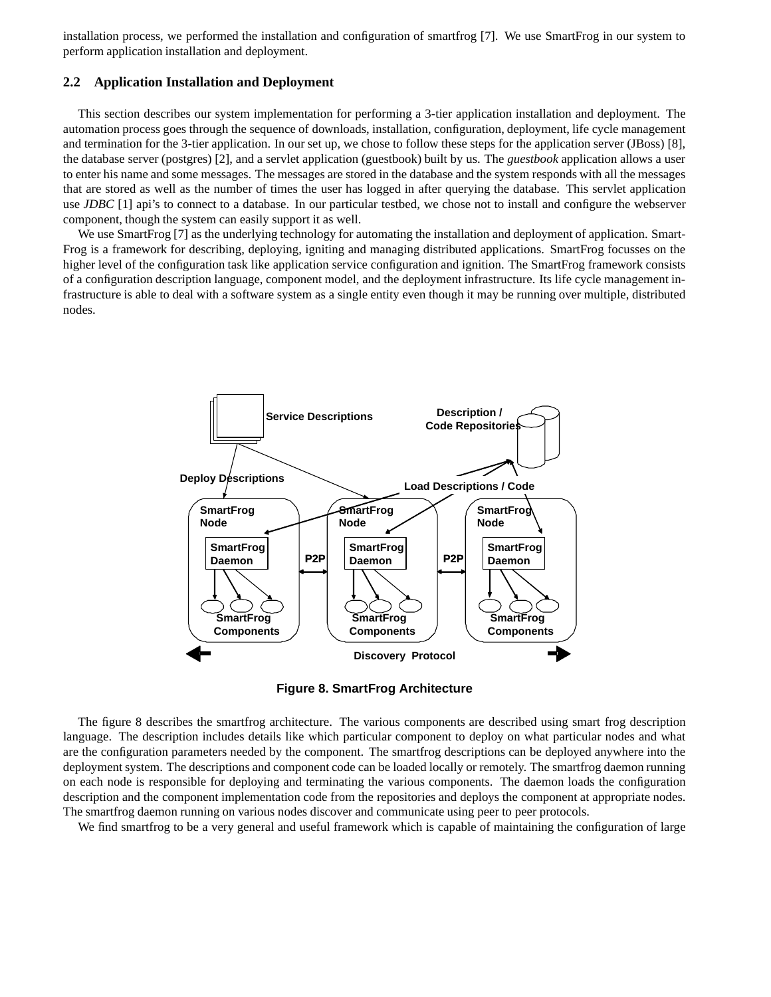installation process, we performed the installation and configuration of smartfrog [7]. We use SmartFrog in our system to perform application installation and deployment.

#### **2.2 Application Installation and Deployment**

This section describes our system implementation for performing a 3-tier application installation and deployment. The automation process goes through the sequence of downloads, installation, configuration, deployment, life cycle management and termination for the 3-tier application. In our set up, we chose to follow these steps for the application server (JBoss) [8], the database server (postgres) [2], and a servlet application (guestbook) built by us. The *guestbook* application allows a user to enter his name and some messages. The messages are stored in the database and the system responds with all the messages that are stored as well as the number of times the user has logged in after querying the database. This servlet application use *JDBC* [1] api's to connect to a database. In our particular testbed, we chose not to install and configure the webserver component, though the system can easily support it as well.

We use SmartFrog [7] as the underlying technology for automating the installation and deployment of application. Smart-Frog is a framework for describing, deploying, igniting and managing distributed applications. SmartFrog focusses on the higher level of the configuration task like application service configuration and ignition. The SmartFrog framework consists of a configuration description language, component model, and the deployment infrastructure. Its life cycle management infrastructure is able to deal with a software system as a single entity even though it may be running over multiple, distributed nodes.



**Figure 8. SmartFrog Architecture**

The figure 8 describes the smartfrog architecture. The various components are described using smart frog description language. The description includes details like which particular component to deploy on what particular nodes and what are the configuration parameters needed by the component. The smartfrog descriptions can be deployed anywhere into the deployment system. The descriptions and component code can be loaded locally or remotely. The smartfrog daemon running on each node is responsible for deploying and terminating the various components. The daemon loads the configuration description and the component implementation code from the repositories and deploys the component at appropriate nodes. The smartfrog daemon running on various nodes discover and communicate using peer to peer protocols.

We find smartfrog to be a very general and useful framework which is capable of maintaining the configuration of large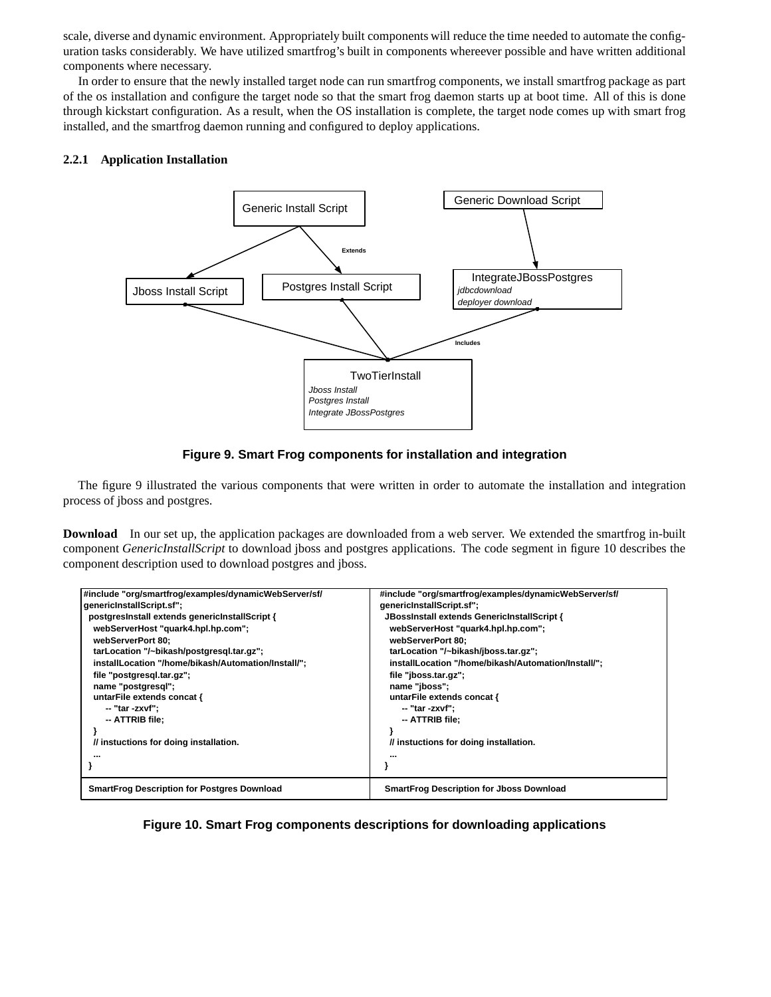scale, diverse and dynamic environment. Appropriately built components will reduce the time needed to automate the configuration tasks considerably. We have utilized smartfrog's built in components whereever possible and have written additional components where necessary.

In order to ensure that the newly installed target node can run smartfrog components, we install smartfrog package as part of the os installation and configure the target node so that the smart frog daemon starts up at boot time. All of this is done through kickstart configuration. As a result, when the OS installation is complete, the target node comes up with smart frog installed, and the smartfrog daemon running and configured to deploy applications.

# **2.2.1 Application Installation**



# **Figure 9. Smart Frog components for installation and integration**

The figure 9 illustrated the various components that were written in order to automate the installation and integration process of jboss and postgres.

**Download** In our set up, the application packages are downloaded from a web server. We extended the smartfrog in-built component *GenericInstallScript* to download jboss and postgres applications. The code segment in figure 10 describes the component description used to download postgres and jboss.

| #include "org/smartfrog/examples/dynamicWebServer/sf/ | #include "org/smartfrog/examples/dynamicWebServer/sf/ |
|-------------------------------------------------------|-------------------------------------------------------|
| genericInstallScript.sf";                             | genericInstallScript.sf";                             |
| postgresinstall extends genericinstallScript {        | JBossInstall extends GenericInstallScript {           |
| webServerHost "quark4.hpl.hp.com";                    | webServerHost "quark4.hpl.hp.com";                    |
| webServerPort 80:                                     | webServerPort 80:                                     |
| tarLocation "/~bikash/postgresgl.tar.gz";             | tarLocation "/~bikash/jboss.tar.gz";                  |
| installLocation "/home/bikash/Automation/Install/";   | installLocation "/home/bikash/Automation/Install/";   |
| file "postgresgl.tar.gz";                             | file "jboss.tar.gz";                                  |
| name "postgresgl";                                    | name "jboss";                                         |
| untarFile extends concat {                            | untarFile extends concat {                            |
| -- "tar -zxvf";                                       | -- "tar -zxvf";                                       |
| -- ATTRIB file;                                       | -- ATTRIB file;                                       |
|                                                       |                                                       |
| // instuctions for doing installation.                | // instuctions for doing installation.                |
|                                                       |                                                       |
|                                                       |                                                       |
| <b>SmartFrog Description for Postgres Download</b>    | <b>SmartFrog Description for Jboss Download</b>       |

# **Figure 10. Smart Frog components descriptions for downloading applications**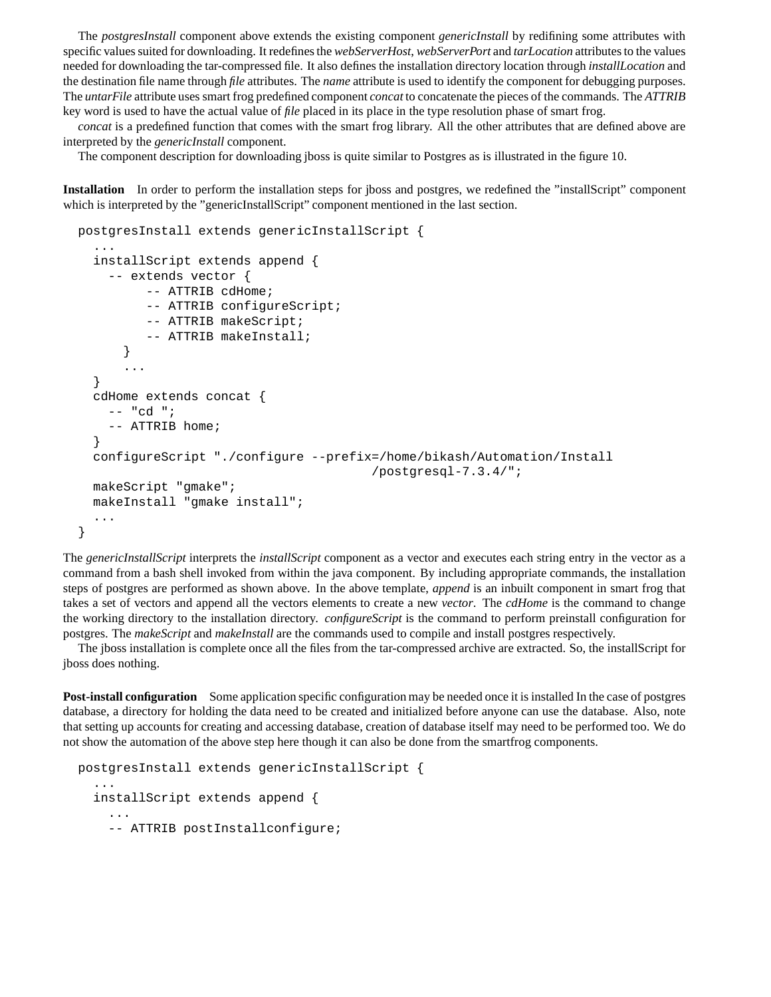The *postgresInstall* component above extends the existing component *genericInstall* by redifining some attributes with specific valuessuited for downloading. It redefinesthe *webServerHost*, *webServerPort* and *tarLocation* attributesto the values needed for downloading the tar-compressed file. It also defines the installation directory location through *installLocation* and the destination file name through *file* attributes. The *name* attribute is used to identify the component for debugging purposes. The *untarFile* attribute uses smart frog predefined component *concat* to concatenate the pieces of the commands. The *ATTRIB* key word is used to have the actual value of *file* placed in its place in the type resolution phase of smart frog.

*concat* is a predefined function that comes with the smart frog library. All the other attributes that are defined above are interpreted by the *genericInstall* component.

The component description for downloading jboss is quite similar to Postgres as is illustrated in the figure 10.

**Installation** In order to perform the installation steps for jboss and postgres, we redefined the "installScript" component which is interpreted by the "genericInstallScript" component mentioned in the last section.

```
postgresInstall extends genericInstallScript {
  ...
  installScript extends append {
    -- extends vector {
         -- ATTRIB cdHome;
         -- ATTRIB configureScript;
         -- ATTRIB makeScript;
         -- ATTRIB makeInstall;
      }
      ...
  }
  cdHome extends concat {
    -- "cd ";
    -- ATTRIB home;
  }
  configureScript "./configure --prefix=/home/bikash/Automation/Install
                                        /postgresql-7.3.4/";
  makeScript "gmake";
  makeInstall "gmake install";
  ...
}
```
The *genericInstallScript* interprets the *installScript* component as a vector and executes each string entry in the vector as a command from a bash shell invoked from within the java component. By including appropriate commands, the installation steps of postgres are performed as shown above. In the above template, *append* is an inbuilt component in smart frog that takes a set of vectors and append all the vectors elements to create a new *vector*. The *cdHome* is the command to change the working directory to the installation directory. *configureScript* is the command to perform preinstall configuration for postgres. The *makeScript* and *makeInstall* are the commands used to compile and install postgres respectively.

The jboss installation is complete once all the files from the tar-compressed archive are extracted. So, the installScript for jboss does nothing.

**Post-install configuration** Some application specific configuration may be needed once it is installed In the case of postgres database, a directory for holding the data need to be created and initialized before anyone can use the database. Also, note that setting up accounts for creating and accessing database, creation of database itself may need to be performed too. We do not show the automation of the above step here though it can also be done from the smartfrog components.

```
postgresInstall extends genericInstallScript {
  ...
  installScript extends append {
    ...
    -- ATTRIB postInstallconfigure;
```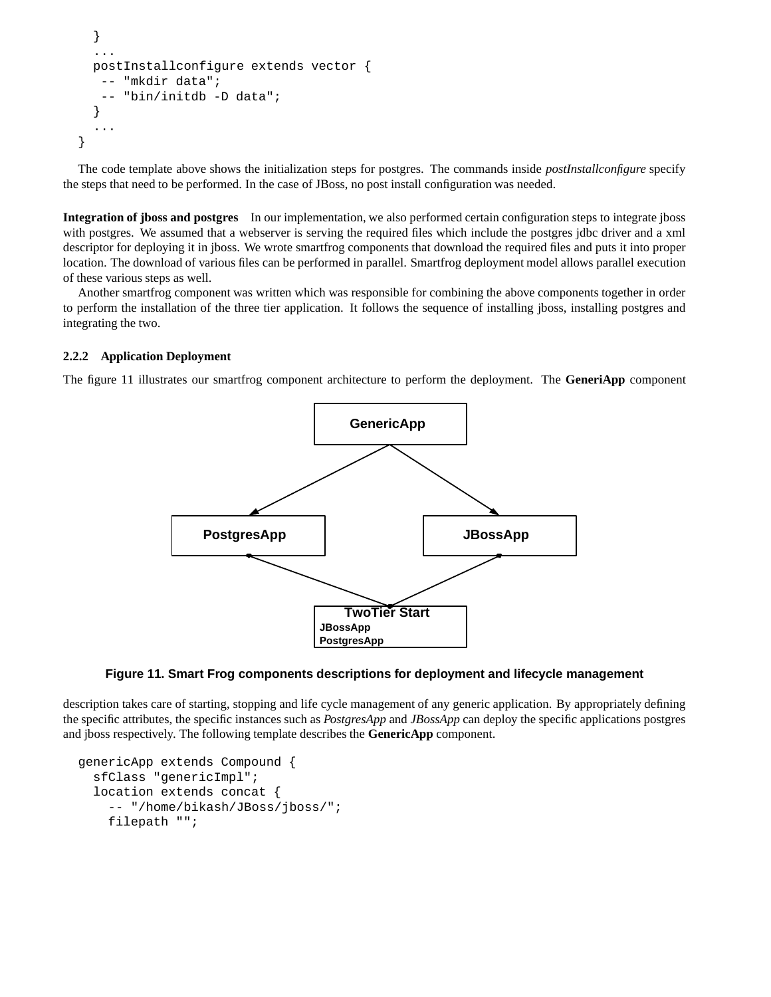```
}
  ...
  postInstallconfigure extends vector {
   -- "mkdir data";
   -- "bin/initdb -D data";
  }
  ...
}
```
The code template above shows the initialization steps for postgres. The commands inside *postInstallconfigure* specify the steps that need to be performed. In the case of JBoss, no post install configuration was needed.

**Integration of jboss and postgres** In our implementation, we also performed certain configuration steps to integrate jboss with postgres. We assumed that a webserver is serving the required files which include the postgres jdbc driver and a xml descriptor for deploying it in jboss. We wrote smartfrog components that download the required files and puts it into proper location. The download of various files can be performed in parallel. Smartfrog deployment model allows parallel execution of these various steps as well.

Another smartfrog component was written which was responsible for combining the above components together in order to perform the installation of the three tier application. It follows the sequence of installing jboss, installing postgres and integrating the two.

### **2.2.2 Application Deployment**

The figure 11 illustrates our smartfrog component architecture to perform the deployment. The **GeneriApp** component



**Figure 11. Smart Frog components descriptions for deployment and lifecycle management**

description takes care of starting, stopping and life cycle management of any generic application. By appropriately defining the specific attributes, the specific instances such as *PostgresApp* and *JBossApp* can deploy the specific applications postgres and jboss respectively. The following template describes the **GenericApp** component.

```
genericApp extends Compound {
  sfClass "genericImpl";
  location extends concat {
    -- "/home/bikash/JBoss/jboss/";
    filepath "";
```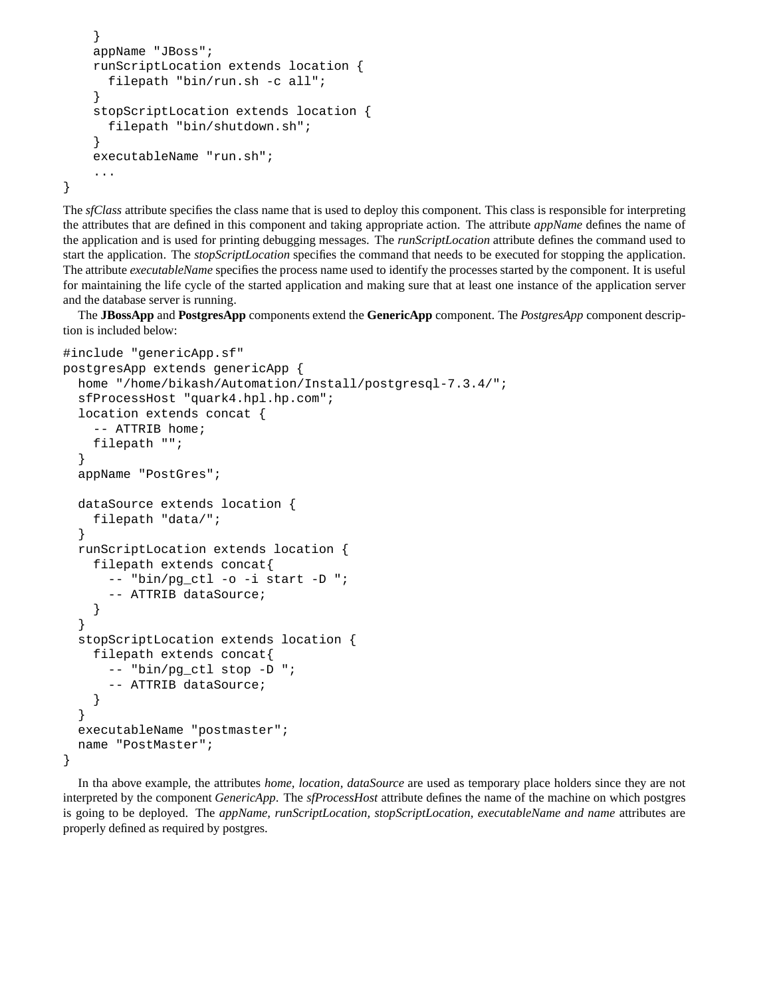```
}
appName "JBoss";
runScriptLocation extends location {
  filepath "bin/run.sh -c all";
}
stopScriptLocation extends location {
 filepath "bin/shutdown.sh";
}
executableName "run.sh";
...
```
}

The *sfClass* attribute specifies the class name that is used to deploy this component. This class is responsible for interpreting the attributes that are defined in this component and taking appropriate action. The attribute *appName* defines the name of the application and is used for printing debugging messages. The *runScriptLocation* attribute defines the command used to start the application. The *stopScriptLocation* specifies the command that needs to be executed for stopping the application. The attribute *executableName* specifies the process name used to identify the processes started by the component. It is useful for maintaining the life cycle of the started application and making sure that at least one instance of the application server and the database server is running.

The **JBossApp** and **PostgresApp** components extend the **GenericApp** component. The *PostgresApp* component description is included below:

```
#include "genericApp.sf"
postgresApp extends genericApp {
  home "/home/bikash/Automation/Install/postgresql-7.3.4/";
  sfProcessHost "quark4.hpl.hp.com";
  location extends concat {
    -- ATTRIB home;
    filepath "";
  }
  appName "PostGres";
  dataSource extends location {
    filepath "data/";
  }
  runScriptLocation extends location {
    filepath extends concat{
      -- "bin/pg_ctl -o -i start -D ";
      -- ATTRIB dataSource;
    }
  }
  stopScriptLocation extends location {
    filepath extends concat{
      -- "bin/pg_ctl stop -D ";
      -- ATTRIB dataSource;
    }
  }
  executableName "postmaster";
  name "PostMaster";
}
```
In tha above example, the attributes *home, location, dataSource* are used as temporary place holders since they are not interpreted by the component *GenericApp*. The *sfProcessHost* attribute defines the name of the machine on which postgres is going to be deployed. The *appName, runScriptLocation, stopScriptLocation, executableName and name* attributes are properly defined as required by postgres.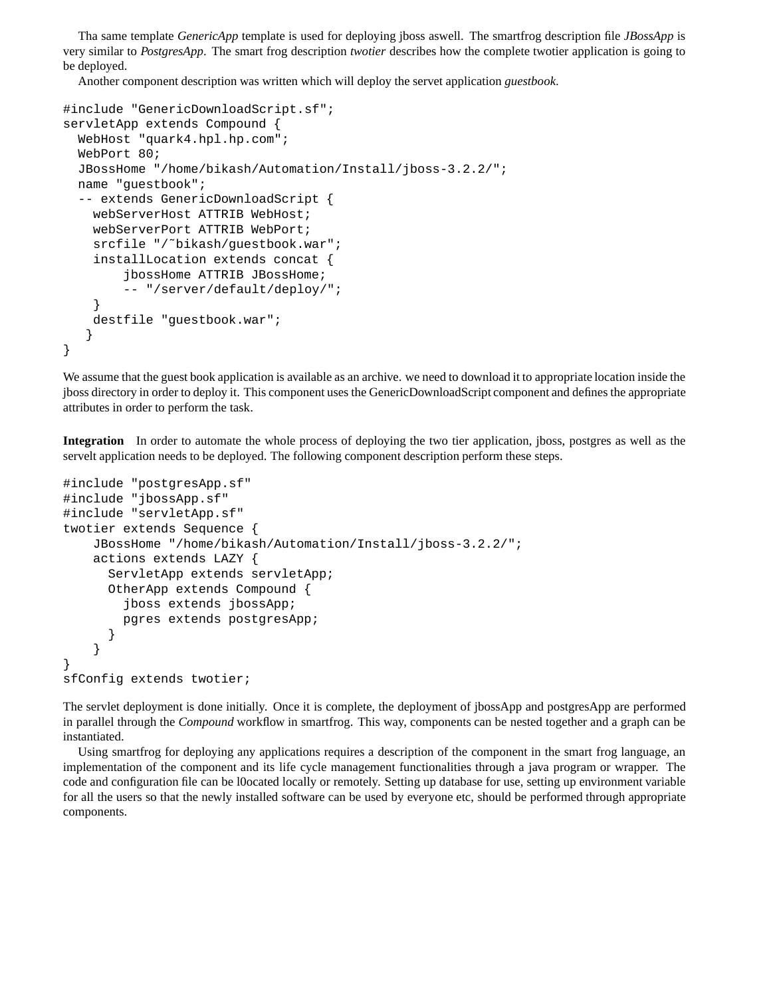Tha same template *GenericApp* template is used for deploying jboss aswell. The smartfrog description file *JBossApp* is very similar to *PostgresApp*. The smart frog description *twotier* describes how the complete twotier application is going to be deployed.

Another component description was written which will deploy the servet application *guestbook*.

```
#include "GenericDownloadScript.sf";
servletApp extends Compound {
  WebHost "quark4.hpl.hp.com";
 WebPort 80;
 JBossHome "/home/bikash/Automation/Install/jboss-3.2.2/";
 name "guestbook";
  -- extends GenericDownloadScript {
    webServerHost ATTRIB WebHost;
    webServerPort ATTRIB WebPort;
    srcfile "/~bikash/questbook.war";
    installLocation extends concat {
        jbossHome ATTRIB JBossHome;
        -- "/server/default/deploy/";
    }
    destfile "guestbook.war";
   }
}
```
We assume that the guest book application is available as an archive. we need to download it to appropriate location inside the jboss directory in order to deploy it. This component uses the GenericDownloadScript component and defines the appropriate attributes in order to perform the task.

**Integration** In order to automate the whole process of deploying the two tier application, jboss, postgres as well as the servelt application needs to be deployed. The following component description perform these steps.

```
#include "postgresApp.sf"
#include "jbossApp.sf"
#include "servletApp.sf"
twotier extends Sequence {
    JBossHome "/home/bikash/Automation/Install/jboss-3.2.2/";
    actions extends LAZY {
      ServletApp extends servletApp;
      OtherApp extends Compound {
        jboss extends jbossApp;
        pgres extends postgresApp;
      }
    }
}
sfConfig extends twotier;
```
The servlet deployment is done initially. Once it is complete, the deployment of jbossApp and postgresApp are performed in parallel through the *Compound* workflow in smartfrog. This way, components can be nested together and a graph can be instantiated.

Using smartfrog for deploying any applications requires a description of the component in the smart frog language, an implementation of the component and its life cycle management functionalities through a java program or wrapper. The code and configuration file can be l0ocated locally or remotely. Setting up database for use, setting up environment variable for all the users so that the newly installed software can be used by everyone etc, should be performed through appropriate components.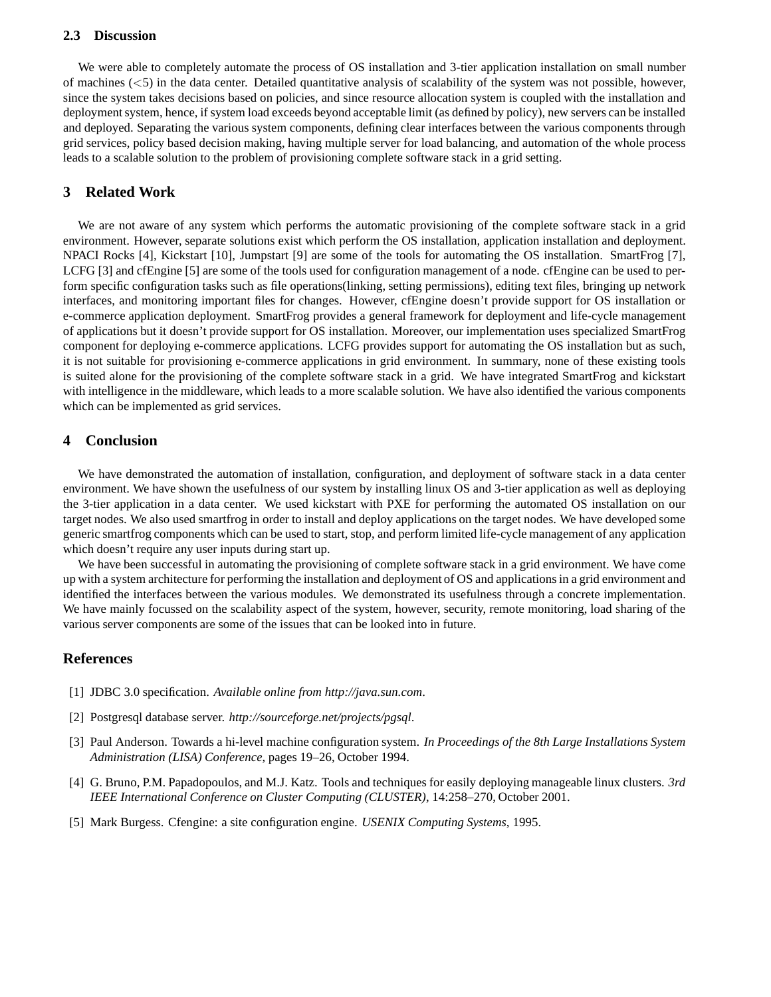#### **2.3 Discussion**

We were able to completely automate the process of OS installation and 3-tier application installation on small number of machines  $(<5$ ) in the data center. Detailed quantitative analysis of scalability of the system was not possible, however, since the system takes decisions based on policies, and since resource allocation system is coupled with the installation and deployment system, hence, if system load exceeds beyond acceptable limit (as defined by policy), new servers can be installed and deployed. Separating the various system components, defining clear interfaces between the various components through grid services, policy based decision making, having multiple server for load balancing, and automation of the whole process leads to a scalable solution to the problem of provisioning complete software stack in a grid setting.

# **3 Related Work**

We are not aware of any system which performs the automatic provisioning of the complete software stack in a grid environment. However, separate solutions exist which perform the OS installation, application installation and deployment. NPACI Rocks [4], Kickstart [10], Jumpstart [9] are some of the tools for automating the OS installation. SmartFrog [7], LCFG [3] and cfEngine [5] are some of the tools used for configuration management of a node. cfEngine can be used to perform specific configuration tasks such as file operations(linking, setting permissions), editing text files, bringing up network interfaces, and monitoring important files for changes. However, cfEngine doesn't provide support for OS installation or e-commerce application deployment. SmartFrog provides a general framework for deployment and life-cycle management of applications but it doesn't provide support for OS installation. Moreover, our implementation uses specialized SmartFrog component for deploying e-commerce applications. LCFG provides support for automating the OS installation but as such, it is not suitable for provisioning e-commerce applications in grid environment. In summary, none of these existing tools is suited alone for the provisioning of the complete software stack in a grid. We have integrated SmartFrog and kickstart with intelligence in the middleware, which leads to a more scalable solution. We have also identified the various components which can be implemented as grid services.

# **4 Conclusion**

We have demonstrated the automation of installation, configuration, and deployment of software stack in a data center environment. We have shown the usefulness of our system by installing linux OS and 3-tier application as well as deploying the 3-tier application in a data center. We used kickstart with PXE for performing the automated OS installation on our target nodes. We also used smartfrog in order to install and deploy applications on the target nodes. We have developed some generic smartfrog components which can be used to start, stop, and perform limited life-cycle management of any application which doesn't require any user inputs during start up.

We have been successful in automating the provisioning of complete software stack in a grid environment. We have come up with a system architecture for performing the installation and deployment of OS and applicationsin a grid environment and identified the interfaces between the various modules. We demonstrated its usefulness through a concrete implementation. We have mainly focussed on the scalability aspect of the system, however, security, remote monitoring, load sharing of the various server components are some of the issues that can be looked into in future.

# **References**

- [1] JDBC 3.0 specification. *Available online from http://java.sun.com*.
- [2] Postgresql database server. *http://sourceforge.net/projects/pgsql*.
- [3] Paul Anderson. Towards a hi-level machine configuration system. *In Proceedings of the 8th Large Installations System Administration (LISA) Conference*, pages 19–26, October 1994.
- [4] G. Bruno, P.M. Papadopoulos, and M.J. Katz. Tools and techniques for easily deploying manageable linux clusters. *3rd IEEE International Conference on Cluster Computing (CLUSTER)*, 14:258–270, October 2001.
- [5] Mark Burgess. Cfengine: a site configuration engine. *USENIX Computing Systems*, 1995.